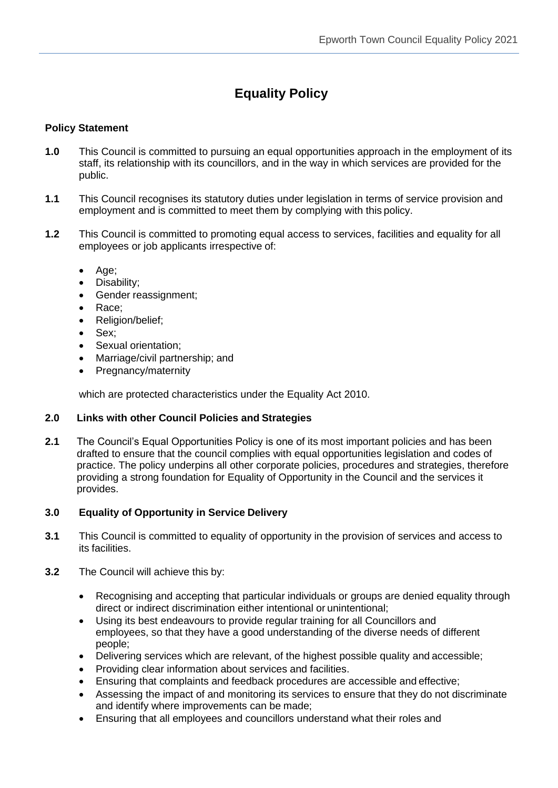# **Equality Policy**

## **Policy Statement**

- **1.0** This Council is committed to pursuing an equal opportunities approach in the employment of its staff, its relationship with its councillors, and in the way in which services are provided for the public.
- **1.1** This Council recognises its statutory duties under legislation in terms of service provision and employment and is committed to meet them by complying with this policy.
- **1.2** This Council is committed to promoting equal access to services, facilities and equality for all employees or job applicants irrespective of:
	- Age;
	- Disability:
	- Gender reassignment;
	- Race:
	- Religion/belief;
	- Sex;
	- Sexual orientation:
	- Marriage/civil partnership; and
	- Pregnancy/maternity

which are protected characteristics under the Equality Act 2010.

## **2.0 Links with other Council Policies and Strategies**

**2.1** The Council's Equal Opportunities Policy is one of its most important policies and has been drafted to ensure that the council complies with equal opportunities legislation and codes of practice. The policy underpins all other corporate policies, procedures and strategies, therefore providing a strong foundation for Equality of Opportunity in the Council and the services it provides.

## **3.0 Equality of Opportunity in Service Delivery**

- **3.1** This Council is committed to equality of opportunity in the provision of services and access to its facilities.
- **3.2** The Council will achieve this by:
	- Recognising and accepting that particular individuals or groups are denied equality through direct or indirect discrimination either intentional or unintentional;
	- Using its best endeavours to provide regular training for all Councillors and employees, so that they have a good understanding of the diverse needs of different people;
	- Delivering services which are relevant, of the highest possible quality and accessible;
	- Providing clear information about services and facilities.
	- Ensuring that complaints and feedback procedures are accessible and effective;
	- Assessing the impact of and monitoring its services to ensure that they do not discriminate and identify where improvements can be made;
	- Ensuring that all employees and councillors understand what their roles and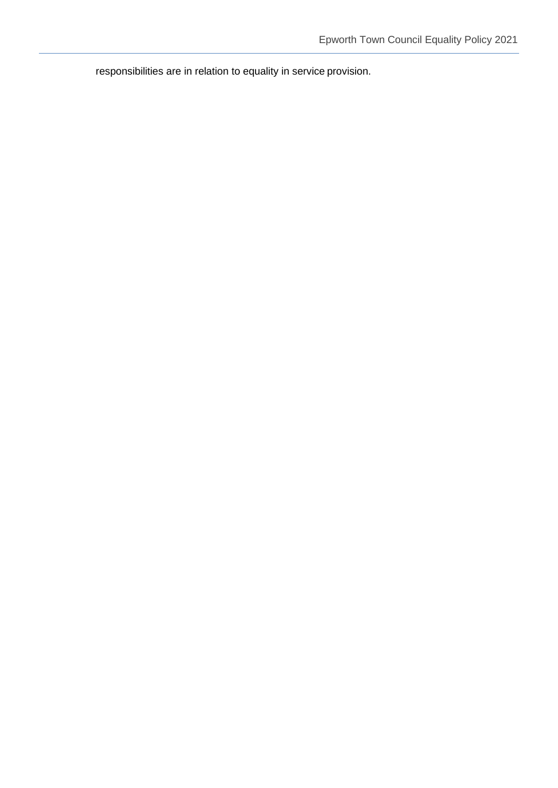responsibilities are in relation to equality in service provision.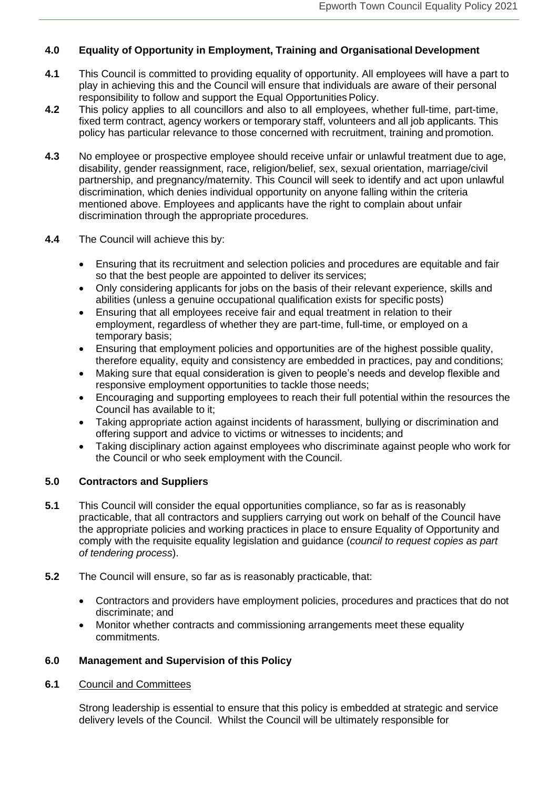## **4.0 Equality of Opportunity in Employment, Training and Organisational Development**

- **4.1** This Council is committed to providing equality of opportunity. All employees will have a part to play in achieving this and the Council will ensure that individuals are aware of their personal responsibility to follow and support the Equal Opportunities Policy.
- **4.2** This policy applies to all councillors and also to all employees, whether full-time, part-time, fixed term contract, agency workers or temporary staff, volunteers and all job applicants. This policy has particular relevance to those concerned with recruitment, training and promotion.
- **4.3** No employee or prospective employee should receive unfair or unlawful treatment due to age, disability, gender reassignment, race, religion/belief, sex, sexual orientation, marriage/civil partnership, and pregnancy/maternity. This Council will seek to identify and act upon unlawful discrimination, which denies individual opportunity on anyone falling within the criteria mentioned above. Employees and applicants have the right to complain about unfair discrimination through the appropriate procedures.
- **4.4** The Council will achieve this by:
	- Ensuring that its recruitment and selection policies and procedures are equitable and fair so that the best people are appointed to deliver its services;
	- Only considering applicants for jobs on the basis of their relevant experience, skills and abilities (unless a genuine occupational qualification exists for specific posts)
	- Ensuring that all employees receive fair and equal treatment in relation to their employment, regardless of whether they are part-time, full-time, or employed on a temporary basis;
	- Ensuring that employment policies and opportunities are of the highest possible quality, therefore equality, equity and consistency are embedded in practices, pay and conditions;
	- Making sure that equal consideration is given to people's needs and develop flexible and responsive employment opportunities to tackle those needs;
	- Encouraging and supporting employees to reach their full potential within the resources the Council has available to it;
	- Taking appropriate action against incidents of harassment, bullying or discrimination and offering support and advice to victims or witnesses to incidents; and
	- Taking disciplinary action against employees who discriminate against people who work for the Council or who seek employment with the Council.

## **5.0 Contractors and Suppliers**

- **5.1** This Council will consider the equal opportunities compliance, so far as is reasonably practicable, that all contractors and suppliers carrying out work on behalf of the Council have the appropriate policies and working practices in place to ensure Equality of Opportunity and comply with the requisite equality legislation and guidance (*council to request copies as part of tendering process*).
- **5.2** The Council will ensure, so far as is reasonably practicable, that:
	- Contractors and providers have employment policies, procedures and practices that do not discriminate; and
	- Monitor whether contracts and commissioning arrangements meet these equality commitments.

## **6.0 Management and Supervision of this Policy**

## **6.1** Council and Committees

Strong leadership is essential to ensure that this policy is embedded at strategic and service delivery levels of the Council. Whilst the Council will be ultimately responsible for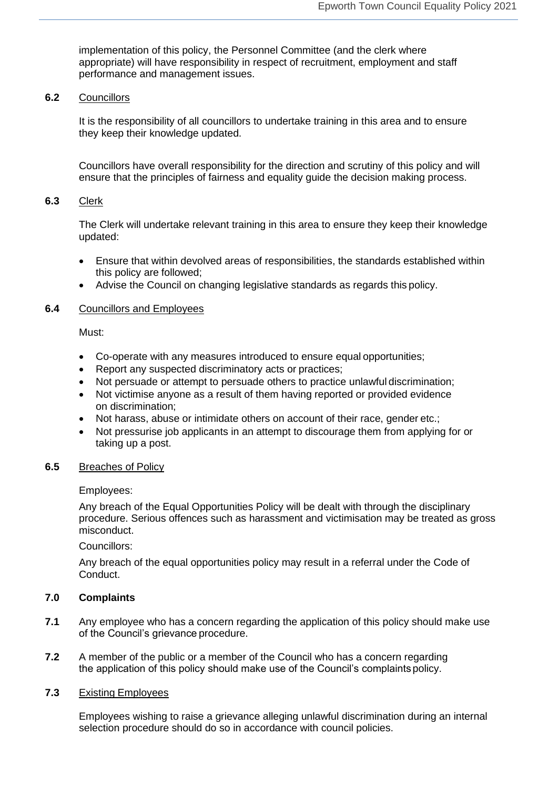implementation of this policy, the Personnel Committee (and the clerk where appropriate) will have responsibility in respect of recruitment, employment and staff performance and management issues.

#### **6.2** Councillors

It is the responsibility of all councillors to undertake training in this area and to ensure they keep their knowledge updated.

Councillors have overall responsibility for the direction and scrutiny of this policy and will ensure that the principles of fairness and equality guide the decision making process.

#### **6.3** Clerk

The Clerk will undertake relevant training in this area to ensure they keep their knowledge updated:

- Ensure that within devolved areas of responsibilities, the standards established within this policy are followed;
- Advise the Council on changing legislative standards as regards this policy.

#### **6.4** Councillors and Employees

Must:

- Co-operate with any measures introduced to ensure equal opportunities;
- Report any suspected discriminatory acts or practices;
- Not persuade or attempt to persuade others to practice unlawful discrimination;
- Not victimise anyone as a result of them having reported or provided evidence on discrimination;
- Not harass, abuse or intimidate others on account of their race, gender etc.;
- Not pressurise job applicants in an attempt to discourage them from applying for or taking up a post.

#### **6.5** Breaches of Policy

Employees:

Any breach of the Equal Opportunities Policy will be dealt with through the disciplinary procedure. Serious offences such as harassment and victimisation may be treated as gross misconduct.

Councillors:

Any breach of the equal opportunities policy may result in a referral under the Code of Conduct.

## **7.0 Complaints**

- **7.1** Any employee who has a concern regarding the application of this policy should make use of the Council's grievance procedure.
- **7.2** A member of the public or a member of the Council who has a concern regarding the application of this policy should make use of the Council's complaints policy.

## **7.3** Existing Employees

Employees wishing to raise a grievance alleging unlawful discrimination during an internal selection procedure should do so in accordance with council policies.